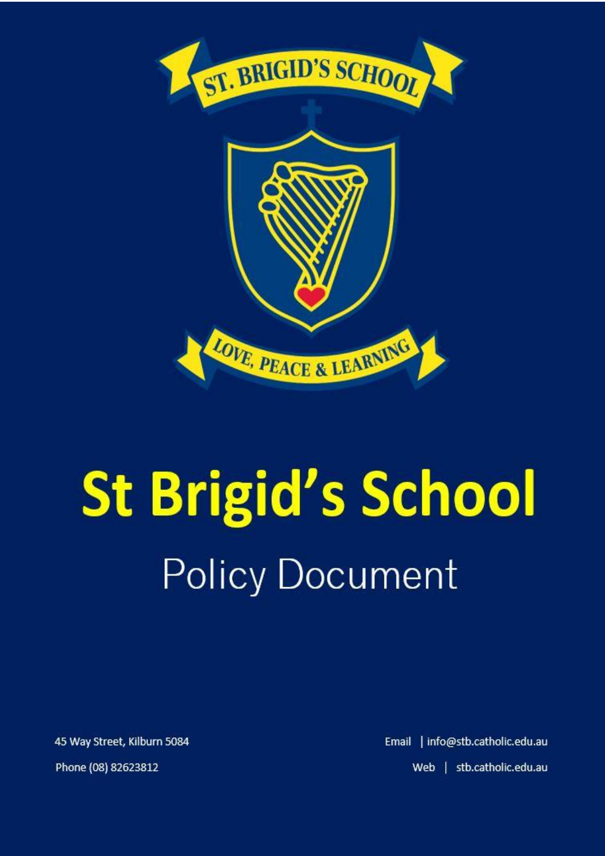

# **St Brigid's School Policy Document**

45 Way Street, Kilburn 5084 Phone (08) 82623812

Email | info@stb.catholic.edu.au Web | stb.catholic.edu.au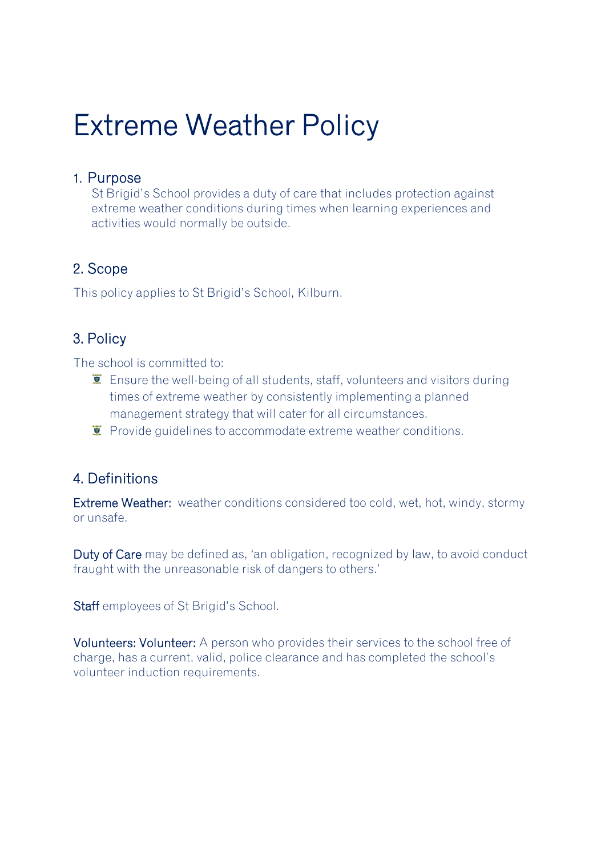## Extreme Weather Policy

#### 1. Purpose

St Brigid's School provides a duty of care that includes protection against extreme weather conditions during times when learning experiences and activities would normally be outside.

#### 2. Scope

This policy applies to St Brigid's School, Kilburn.

#### 3. Policy

The school is committed to:

- $\bar{I}$  Ensure the well-being of all students, staff, volunteers and visitors during times of extreme weather by consistently implementing a planned management strategy that will cater for all circumstances.
- $\ddot{\mathbf{v}}$  Provide quidelines to accommodate extreme weather conditions.

#### 4. Definitions

Extreme Weather: weather conditions considered too cold, wet, hot, windy, stormy or unsafe.

Duty of Care may be defined as, 'an obligation, recognized by law, to avoid conduct fraught with the unreasonable risk of dangers to others.'

Staff employees of St Brigid's School.

Volunteers: Volunteer: A person who provides their services to the school free of charge, has a current, valid, police clearance and has completed the school's volunteer induction requirements.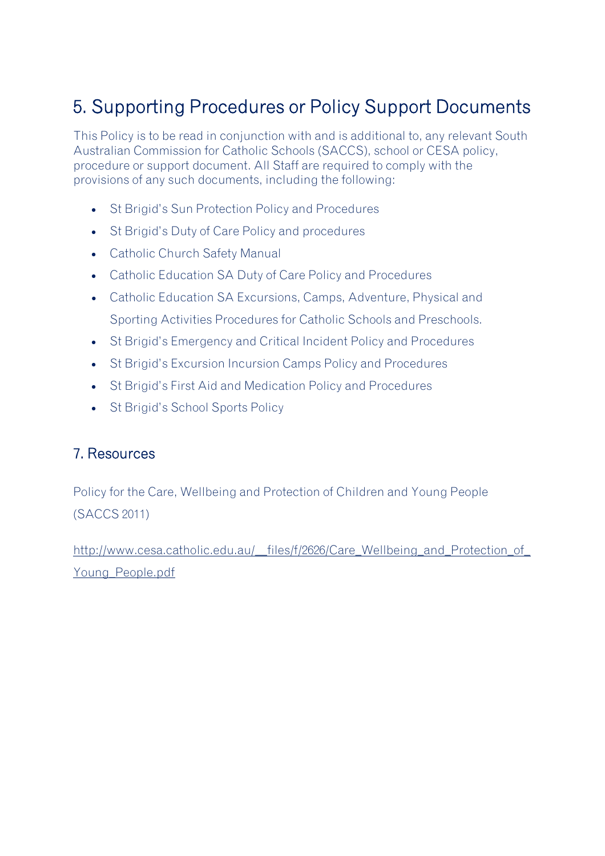### 5. Supporting Procedures or Policy Support Documents

This Policy is to be read in conjunction with and is additional to, any relevant South Australian Commission for Catholic Schools (SACCS), school or CESA policy, procedure or support document. All Staff are required to comply with the provisions of any such documents, including the following:

- St Brigid's Sun Protection Policy and Procedures
- St Brigid's Duty of Care Policy and procedures
- Catholic Church Safety Manual
- Catholic Education SA Duty of Care Policy and Procedures
- Catholic Education SA Excursions, Camps, Adventure, Physical and Sporting Activities Procedures for Catholic Schools and Preschools.
- St Brigid's Emergency and Critical Incident Policy and Procedures
- St Brigid's Excursion Incursion Camps Policy and Procedures
- St Brigid's First Aid and Medication Policy and Procedures
- St Brigid's School Sports Policy

#### 7. Resources

Policy for the Care, Wellbeing and Protection of Children and Young People (SACCS 2011)

[http://www.cesa.catholic.edu.au/\\_\\_files/f/2626/Care\\_Wellbeing\\_and\\_Protection\\_of\\_](http://www.cesa.catholic.edu.au/__files/f/2626/Care_Wellbeing_and_Protection_of_Young_People.pdf) [Young\\_People.pdf](http://www.cesa.catholic.edu.au/__files/f/2626/Care_Wellbeing_and_Protection_of_Young_People.pdf)